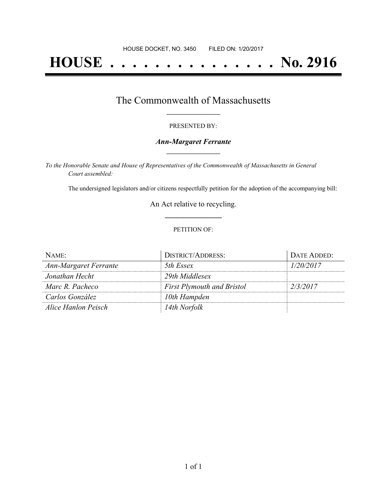# **HOUSE . . . . . . . . . . . . . . . No. 2916**

## The Commonwealth of Massachusetts **\_\_\_\_\_\_\_\_\_\_\_\_\_\_\_\_\_**

#### PRESENTED BY:

#### *Ann-Margaret Ferrante* **\_\_\_\_\_\_\_\_\_\_\_\_\_\_\_\_\_**

*To the Honorable Senate and House of Representatives of the Commonwealth of Massachusetts in General Court assembled:*

The undersigned legislators and/or citizens respectfully petition for the adoption of the accompanying bill:

An Act relative to recycling. **\_\_\_\_\_\_\_\_\_\_\_\_\_\_\_**

#### PETITION OF:

| NAME:                        | <b>DISTRICT/ADDRESS:</b>          | DATE ADDED: |
|------------------------------|-----------------------------------|-------------|
| <b>Ann-Margaret Ferrante</b> | 5th Essex                         | 1/20/2017   |
| Jonathan Hecht               | 29th Middlesex                    |             |
| Marc R. Pacheco              | <b>First Plymouth and Bristol</b> | 2/3/2017    |
| Carlos González              | 10th Hampden                      |             |
| Alice Hanlon Peisch          | 14th Norfolk                      |             |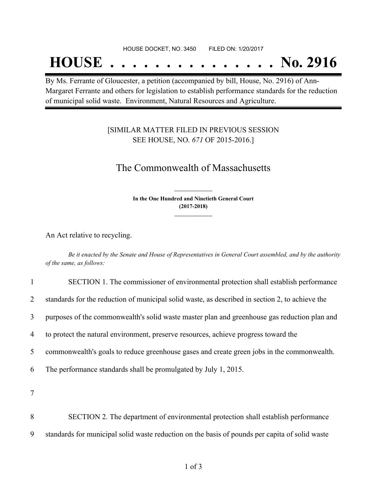#### HOUSE DOCKET, NO. 3450 FILED ON: 1/20/2017

## **HOUSE . . . . . . . . . . . . . . . No. 2916**

By Ms. Ferrante of Gloucester, a petition (accompanied by bill, House, No. 2916) of Ann-Margaret Ferrante and others for legislation to establish performance standards for the reduction of municipal solid waste. Environment, Natural Resources and Agriculture.

### [SIMILAR MATTER FILED IN PREVIOUS SESSION SEE HOUSE, NO. *671* OF 2015-2016.]

## The Commonwealth of Massachusetts

**In the One Hundred and Ninetieth General Court (2017-2018) \_\_\_\_\_\_\_\_\_\_\_\_\_\_\_**

**\_\_\_\_\_\_\_\_\_\_\_\_\_\_\_**

An Act relative to recycling.

Be it enacted by the Senate and House of Representatives in General Court assembled, and by the authority *of the same, as follows:*

| $\mathbf{1}$   | SECTION 1. The commissioner of environmental protection shall establish performance             |
|----------------|-------------------------------------------------------------------------------------------------|
| $\overline{2}$ | standards for the reduction of municipal solid waste, as described in section 2, to achieve the |
| 3              | purposes of the commonwealth's solid waste master plan and greenhouse gas reduction plan and    |
| 4              | to protect the natural environment, preserve resources, achieve progress toward the             |
| 5              | commonwealth's goals to reduce greenhouse gases and create green jobs in the commonwealth.      |
| 6              | The performance standards shall be promulgated by July 1, 2015.                                 |
| $\tau$         |                                                                                                 |
| 8              | SECTION 2. The department of environmental protection shall establish performance               |
| 9              | standards for municipal solid waste reduction on the basis of pounds per capita of solid waste  |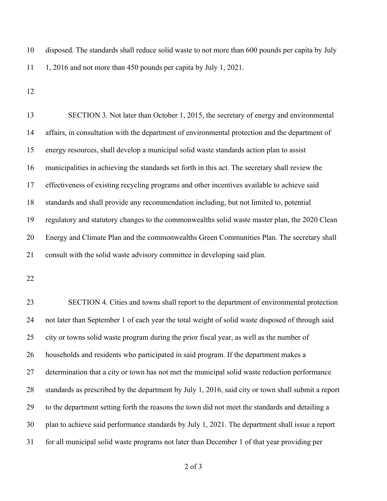disposed. The standards shall reduce solid waste to not more than 600 pounds per capita by July 1, 2016 and not more than 450 pounds per capita by July 1, 2021.

 SECTION 3. Not later than October 1, 2015, the secretary of energy and environmental affairs, in consultation with the department of environmental protection and the department of energy resources, shall develop a municipal solid waste standards action plan to assist municipalities in achieving the standards set forth in this act. The secretary shall review the effectiveness of existing recycling programs and other incentives available to achieve said standards and shall provide any recommendation including, but not limited to, potential regulatory and statutory changes to the commonwealths solid waste master plan, the 2020 Clean Energy and Climate Plan and the commonwealths Green Communities Plan. The secretary shall consult with the solid waste advisory committee in developing said plan.

 SECTION 4. Cities and towns shall report to the department of environmental protection not later than September 1 of each year the total weight of solid waste disposed of through said city or towns solid waste program during the prior fiscal year, as well as the number of households and residents who participated in said program. If the department makes a determination that a city or town has not met the municipal solid waste reduction performance standards as prescribed by the department by July 1, 2016, said city or town shall submit a report to the department setting forth the reasons the town did not meet the standards and detailing a plan to achieve said performance standards by July 1, 2021. The department shall issue a report for all municipal solid waste programs not later than December 1 of that year providing per

of 3